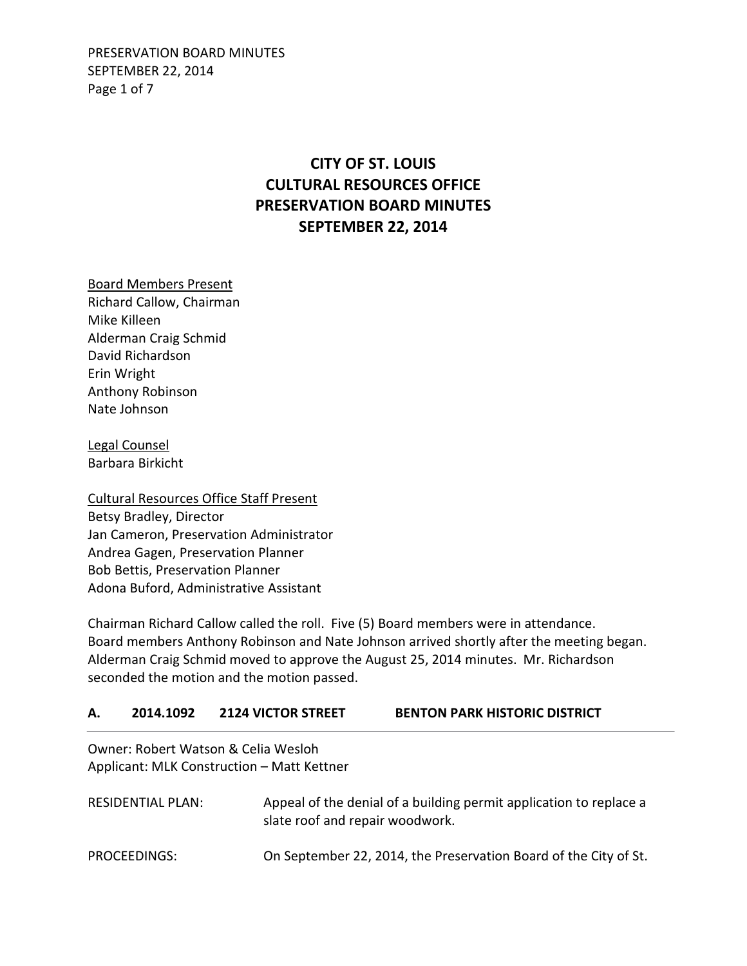PRESERVATION BOARD MINUTES SEPTEMBER 22, 2014 Page 1 of 7

# **CITY OF ST. LOUIS CULTURAL RESOURCES OFFICE PRESERVATION BOARD MINUTES SEPTEMBER 22, 2014**

Board Members Present Richard Callow, Chairman Mike Killeen Alderman Craig Schmid David Richardson Erin Wright Anthony Robinson Nate Johnson

Legal Counsel Barbara Birkicht

Cultural Resources Office Staff Present Betsy Bradley, Director Jan Cameron, Preservation Administrator Andrea Gagen, Preservation Planner Bob Bettis, Preservation Planner Adona Buford, Administrative Assistant

Chairman Richard Callow called the roll. Five (5) Board members were in attendance. Board members Anthony Robinson and Nate Johnson arrived shortly after the meeting began. Alderman Craig Schmid moved to approve the August 25, 2014 minutes. Mr. Richardson seconded the motion and the motion passed.

#### **A. 2014.1092 2124 VICTOR STREET BENTON PARK HISTORIC DISTRICT**

Owner: Robert Watson & Celia Wesloh Applicant: MLK Construction – Matt Kettner

| RESIDENTIAL PLAN: | Appeal of the denial of a building permit application to replace a<br>slate roof and repair woodwork. |
|-------------------|-------------------------------------------------------------------------------------------------------|
| PROCEEDINGS:      | On September 22, 2014, the Preservation Board of the City of St.                                      |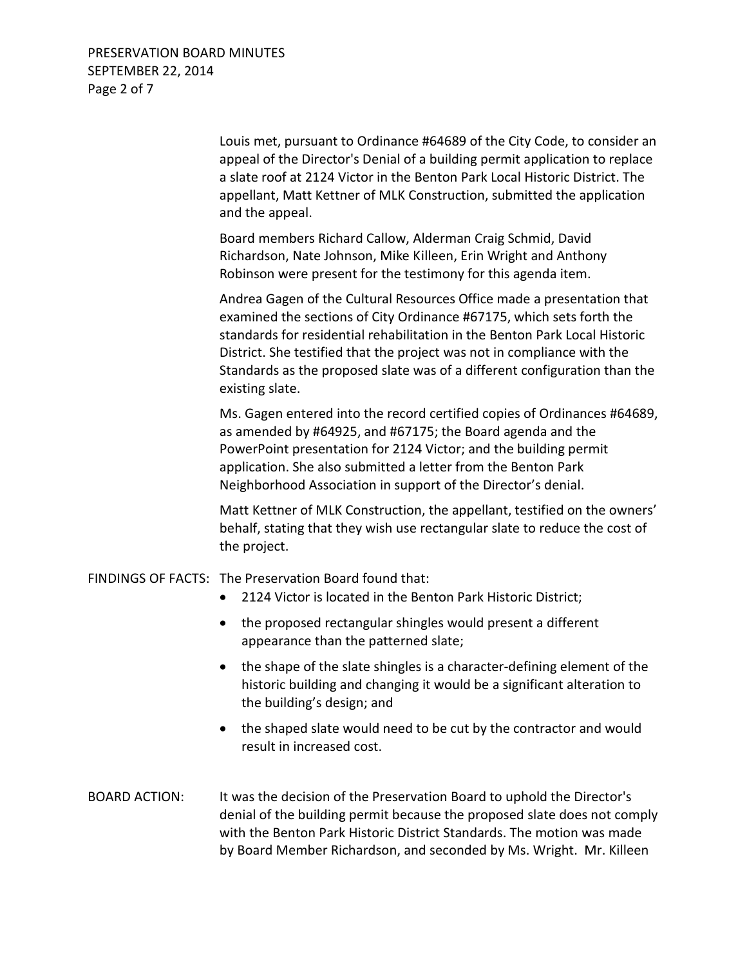PRESERVATION BOARD MINUTES SEPTEMBER 22, 2014 Page 2 of 7

> Louis met, pursuant to Ordinance #64689 of the City Code, to consider an appeal of the Director's Denial of a building permit application to replace a slate roof at 2124 Victor in the Benton Park Local Historic District. The appellant, Matt Kettner of MLK Construction, submitted the application and the appeal.

Board members Richard Callow, Alderman Craig Schmid, David Richardson, Nate Johnson, Mike Killeen, Erin Wright and Anthony Robinson were present for the testimony for this agenda item.

Andrea Gagen of the Cultural Resources Office made a presentation that examined the sections of City Ordinance #67175, which sets forth the standards for residential rehabilitation in the Benton Park Local Historic District. She testified that the project was not in compliance with the Standards as the proposed slate was of a different configuration than the existing slate.

Ms. Gagen entered into the record certified copies of Ordinances #64689, as amended by #64925, and #67175; the Board agenda and the PowerPoint presentation for 2124 Victor; and the building permit application. She also submitted a letter from the Benton Park Neighborhood Association in support of the Director's denial.

Matt Kettner of MLK Construction, the appellant, testified on the owners' behalf, stating that they wish use rectangular slate to reduce the cost of the project.

FINDINGS OF FACTS: The Preservation Board found that:

- 2124 Victor is located in the Benton Park Historic District;
- the proposed rectangular shingles would present a different appearance than the patterned slate;
- the shape of the slate shingles is a character-defining element of the historic building and changing it would be a significant alteration to the building's design; and
- the shaped slate would need to be cut by the contractor and would result in increased cost.
- BOARD ACTION: It was the decision of the Preservation Board to uphold the Director's denial of the building permit because the proposed slate does not comply with the Benton Park Historic District Standards. The motion was made by Board Member Richardson, and seconded by Ms. Wright. Mr. Killeen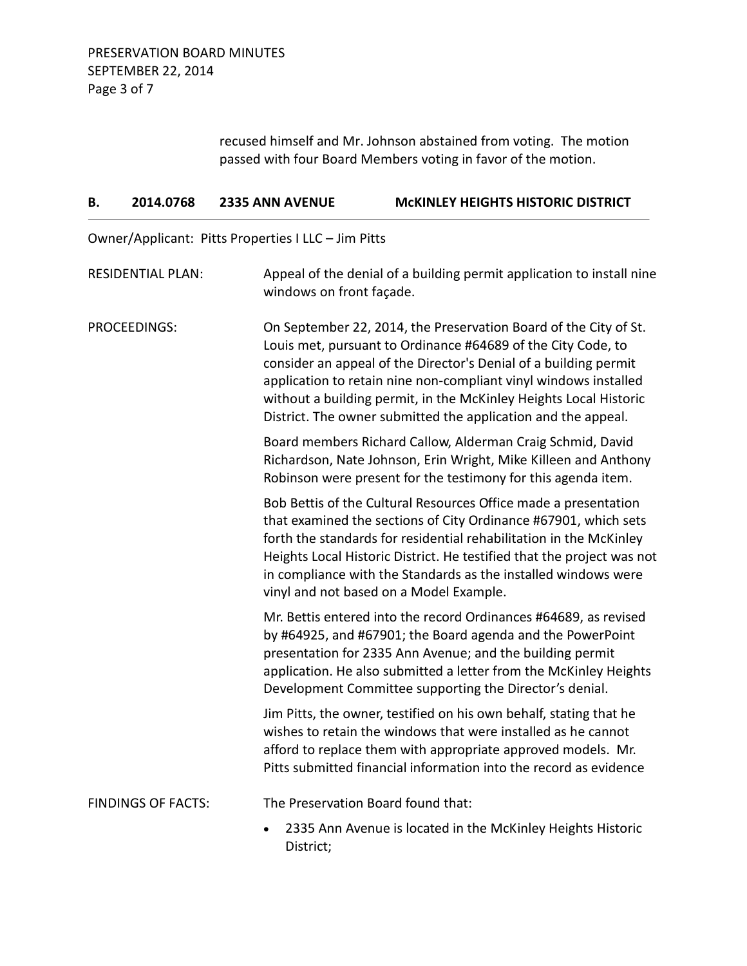recused himself and Mr. Johnson abstained from voting. The motion passed with four Board Members voting in favor of the motion.

| 2014.0768<br>В.           | <b>2335 ANN AVENUE</b>                              | <b>MCKINLEY HEIGHTS HISTORIC DISTRICT</b>                                                                                                                                                                                                                                                                                                                                                                      |
|---------------------------|-----------------------------------------------------|----------------------------------------------------------------------------------------------------------------------------------------------------------------------------------------------------------------------------------------------------------------------------------------------------------------------------------------------------------------------------------------------------------------|
|                           | Owner/Applicant: Pitts Properties I LLC - Jim Pitts |                                                                                                                                                                                                                                                                                                                                                                                                                |
| <b>RESIDENTIAL PLAN:</b>  | windows on front façade.                            | Appeal of the denial of a building permit application to install nine                                                                                                                                                                                                                                                                                                                                          |
| PROCEEDINGS:              |                                                     | On September 22, 2014, the Preservation Board of the City of St.<br>Louis met, pursuant to Ordinance #64689 of the City Code, to<br>consider an appeal of the Director's Denial of a building permit<br>application to retain nine non-compliant vinyl windows installed<br>without a building permit, in the McKinley Heights Local Historic<br>District. The owner submitted the application and the appeal. |
|                           |                                                     | Board members Richard Callow, Alderman Craig Schmid, David<br>Richardson, Nate Johnson, Erin Wright, Mike Killeen and Anthony<br>Robinson were present for the testimony for this agenda item.                                                                                                                                                                                                                 |
|                           |                                                     | Bob Bettis of the Cultural Resources Office made a presentation<br>that examined the sections of City Ordinance #67901, which sets<br>forth the standards for residential rehabilitation in the McKinley<br>Heights Local Historic District. He testified that the project was not<br>in compliance with the Standards as the installed windows were<br>vinyl and not based on a Model Example.                |
|                           |                                                     | Mr. Bettis entered into the record Ordinances #64689, as revised<br>by #64925, and #67901; the Board agenda and the PowerPoint<br>presentation for 2335 Ann Avenue; and the building permit<br>application. He also submitted a letter from the McKinley Heights<br>Development Committee supporting the Director's denial.                                                                                    |
|                           |                                                     | Jim Pitts, the owner, testified on his own behalf, stating that he<br>wishes to retain the windows that were installed as he cannot<br>afford to replace them with appropriate approved models. Mr.<br>Pitts submitted financial information into the record as evidence                                                                                                                                       |
| <b>FINDINGS OF FACTS:</b> |                                                     | The Preservation Board found that:                                                                                                                                                                                                                                                                                                                                                                             |
|                           | $\bullet$<br>District;                              | 2335 Ann Avenue is located in the McKinley Heights Historic                                                                                                                                                                                                                                                                                                                                                    |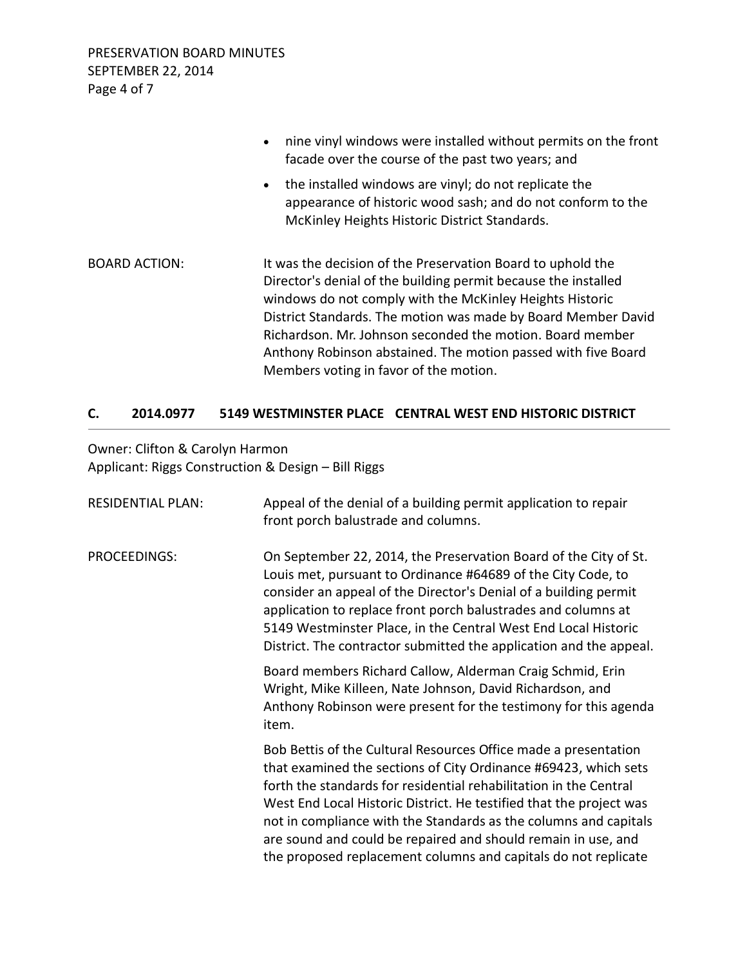|                      | nine vinyl windows were installed without permits on the front<br>facade over the course of the past two years; and                                                                                                                                                                                                                                                                                                                |
|----------------------|------------------------------------------------------------------------------------------------------------------------------------------------------------------------------------------------------------------------------------------------------------------------------------------------------------------------------------------------------------------------------------------------------------------------------------|
|                      | the installed windows are vinyl; do not replicate the<br>$\bullet$<br>appearance of historic wood sash; and do not conform to the<br>McKinley Heights Historic District Standards.                                                                                                                                                                                                                                                 |
| <b>BOARD ACTION:</b> | It was the decision of the Preservation Board to uphold the<br>Director's denial of the building permit because the installed<br>windows do not comply with the McKinley Heights Historic<br>District Standards. The motion was made by Board Member David<br>Richardson. Mr. Johnson seconded the motion. Board member<br>Anthony Robinson abstained. The motion passed with five Board<br>Members voting in favor of the motion. |

## **C. 2014.0977 5149 WESTMINSTER PLACE CENTRAL WEST END HISTORIC DISTRICT**

Owner: Clifton & Carolyn Harmon Applicant: Riggs Construction & Design – Bill Riggs

| <b>RESIDENTIAL PLAN:</b> | Appeal of the denial of a building permit application to repair<br>front porch balustrade and columns.                                                                                                                                                                                                                                                                                                                                                                                |
|--------------------------|---------------------------------------------------------------------------------------------------------------------------------------------------------------------------------------------------------------------------------------------------------------------------------------------------------------------------------------------------------------------------------------------------------------------------------------------------------------------------------------|
| PROCEEDINGS:             | On September 22, 2014, the Preservation Board of the City of St.<br>Louis met, pursuant to Ordinance #64689 of the City Code, to<br>consider an appeal of the Director's Denial of a building permit<br>application to replace front porch balustrades and columns at<br>5149 Westminster Place, in the Central West End Local Historic<br>District. The contractor submitted the application and the appeal.                                                                         |
|                          | Board members Richard Callow, Alderman Craig Schmid, Erin<br>Wright, Mike Killeen, Nate Johnson, David Richardson, and<br>Anthony Robinson were present for the testimony for this agenda<br>item.                                                                                                                                                                                                                                                                                    |
|                          | Bob Bettis of the Cultural Resources Office made a presentation<br>that examined the sections of City Ordinance #69423, which sets<br>forth the standards for residential rehabilitation in the Central<br>West End Local Historic District. He testified that the project was<br>not in compliance with the Standards as the columns and capitals<br>are sound and could be repaired and should remain in use, and<br>the proposed replacement columns and capitals do not replicate |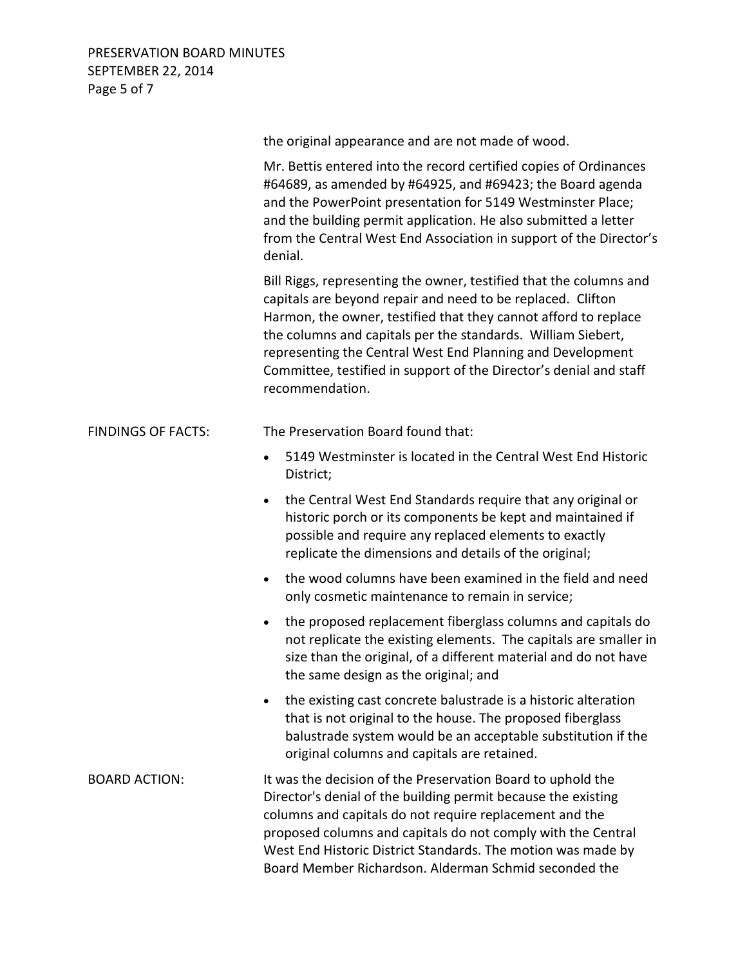PRESERVATION BOARD MINUTES SEPTEMBER 22, 2014 Page 5 of 7

|                           | the original appearance and are not made of wood.                                                                                                                                                                                                                                                                                                                                                                           |
|---------------------------|-----------------------------------------------------------------------------------------------------------------------------------------------------------------------------------------------------------------------------------------------------------------------------------------------------------------------------------------------------------------------------------------------------------------------------|
|                           | Mr. Bettis entered into the record certified copies of Ordinances<br>#64689, as amended by #64925, and #69423; the Board agenda<br>and the PowerPoint presentation for 5149 Westminster Place;<br>and the building permit application. He also submitted a letter<br>from the Central West End Association in support of the Director's<br>denial.                                                                          |
|                           | Bill Riggs, representing the owner, testified that the columns and<br>capitals are beyond repair and need to be replaced. Clifton<br>Harmon, the owner, testified that they cannot afford to replace<br>the columns and capitals per the standards. William Siebert,<br>representing the Central West End Planning and Development<br>Committee, testified in support of the Director's denial and staff<br>recommendation. |
| <b>FINDINGS OF FACTS:</b> | The Preservation Board found that:                                                                                                                                                                                                                                                                                                                                                                                          |
|                           | 5149 Westminster is located in the Central West End Historic<br>$\bullet$<br>District;                                                                                                                                                                                                                                                                                                                                      |
|                           | the Central West End Standards require that any original or<br>$\bullet$<br>historic porch or its components be kept and maintained if<br>possible and require any replaced elements to exactly<br>replicate the dimensions and details of the original;                                                                                                                                                                    |
|                           | the wood columns have been examined in the field and need<br>$\bullet$<br>only cosmetic maintenance to remain in service;                                                                                                                                                                                                                                                                                                   |
|                           | the proposed replacement fiberglass columns and capitals do<br>$\bullet$<br>not replicate the existing elements. The capitals are smaller in<br>size than the original, of a different material and do not have<br>the same design as the original; and                                                                                                                                                                     |
|                           | the existing cast concrete balustrade is a historic alteration<br>that is not original to the house. The proposed fiberglass<br>balustrade system would be an acceptable substitution if the<br>original columns and capitals are retained.                                                                                                                                                                                 |
| <b>BOARD ACTION:</b>      | It was the decision of the Preservation Board to uphold the<br>Director's denial of the building permit because the existing<br>columns and capitals do not require replacement and the<br>proposed columns and capitals do not comply with the Central<br>West End Historic District Standards. The motion was made by<br>Board Member Richardson. Alderman Schmid seconded the                                            |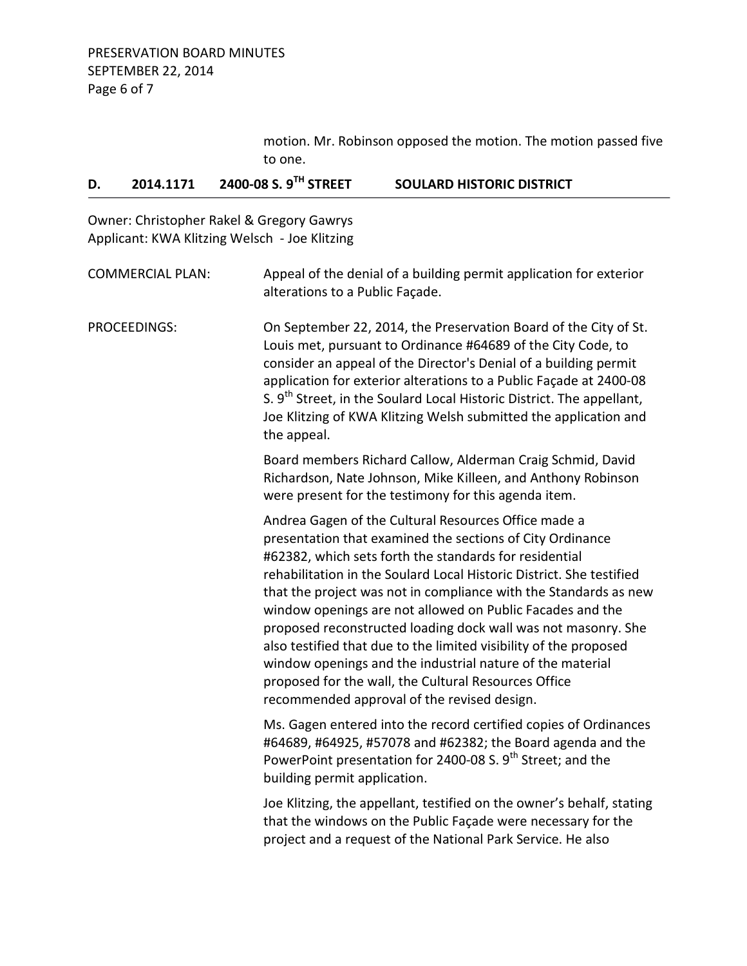motion. Mr. Robinson opposed the motion. The motion passed five to one.

## **D. 2014.1171 2400-08 S. 9TH STREET SOULARD HISTORIC DISTRICT**

Owner: Christopher Rakel & Gregory Gawrys Applicant: KWA Klitzing Welsch - Joe Klitzing

| <b>COMMERCIAL PLAN:</b> | Appeal of the denial of a building permit application for exterior<br>alterations to a Public Façade.                                                                                                                                                                                                                                                                                                                                                                                                                                                                                                                                                                                          |
|-------------------------|------------------------------------------------------------------------------------------------------------------------------------------------------------------------------------------------------------------------------------------------------------------------------------------------------------------------------------------------------------------------------------------------------------------------------------------------------------------------------------------------------------------------------------------------------------------------------------------------------------------------------------------------------------------------------------------------|
| PROCEEDINGS:            | On September 22, 2014, the Preservation Board of the City of St.<br>Louis met, pursuant to Ordinance #64689 of the City Code, to<br>consider an appeal of the Director's Denial of a building permit<br>application for exterior alterations to a Public Façade at 2400-08<br>S. 9 <sup>th</sup> Street, in the Soulard Local Historic District. The appellant,<br>Joe Klitzing of KWA Klitzing Welsh submitted the application and<br>the appeal.                                                                                                                                                                                                                                             |
|                         | Board members Richard Callow, Alderman Craig Schmid, David<br>Richardson, Nate Johnson, Mike Killeen, and Anthony Robinson<br>were present for the testimony for this agenda item.                                                                                                                                                                                                                                                                                                                                                                                                                                                                                                             |
|                         | Andrea Gagen of the Cultural Resources Office made a<br>presentation that examined the sections of City Ordinance<br>#62382, which sets forth the standards for residential<br>rehabilitation in the Soulard Local Historic District. She testified<br>that the project was not in compliance with the Standards as new<br>window openings are not allowed on Public Facades and the<br>proposed reconstructed loading dock wall was not masonry. She<br>also testified that due to the limited visibility of the proposed<br>window openings and the industrial nature of the material<br>proposed for the wall, the Cultural Resources Office<br>recommended approval of the revised design. |
|                         | Ms. Gagen entered into the record certified copies of Ordinances<br>#64689, #64925, #57078 and #62382; the Board agenda and the<br>PowerPoint presentation for 2400-08 S. 9 <sup>th</sup> Street; and the<br>building permit application.                                                                                                                                                                                                                                                                                                                                                                                                                                                      |
|                         | Joe Klitzing, the appellant, testified on the owner's behalf, stating<br>that the windows on the Public Façade were necessary for the<br>project and a request of the National Park Service. He also                                                                                                                                                                                                                                                                                                                                                                                                                                                                                           |